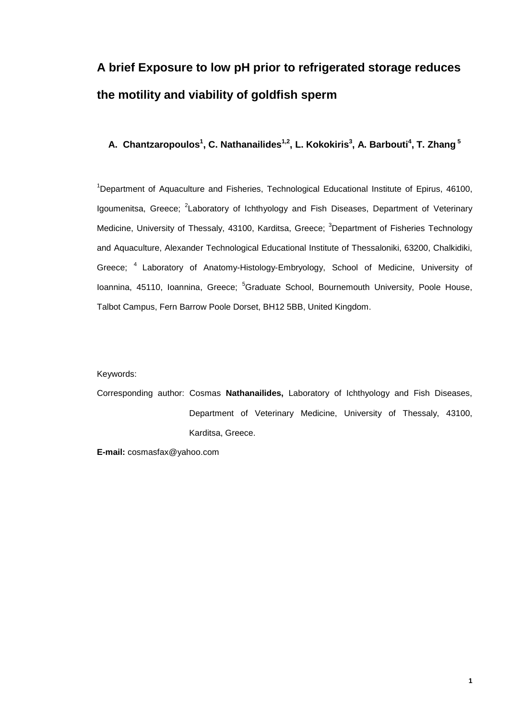# **A brief Exposure to low pH prior to refrigerated storage reduces the motility and viability of goldfish sperm**

#### **A. Chantzaropoulos1 , C. Nathanailides1,2 , L. Kokokiris3 , A. Barbouti<sup>4</sup> , T. Zhang <sup>5</sup>**

<sup>1</sup>Department of Aquaculture and Fisheries, Technological Educational Institute of Epirus, 46100, Igoumenitsa, Greece; <sup>2</sup>Laboratory of Ichthyology and Fish Diseases, Department of Veterinary Medicine, University of Thessaly, 43100, Karditsa, Greece; <sup>3</sup>Department of Fisheries Technology and Aquaculture, Alexander Technological Educational Institute of Thessaloniki, 63200, Chalkidiki, Greece; <sup>4</sup> Laboratory of Anatomy-Histology-Embryology, School of Medicine, University of Ioannina, 45110, Ioannina, Greece; <sup>5</sup>Graduate School, Bournemouth University, Poole House, Talbot Campus, Fern Barrow Poole Dorset, BH12 5BB, United Kingdom.

#### Keywords:

Corresponding author: Cosmas **Nathanailides,** Laboratory of Ichthyology and Fish Diseases, Department of Veterinary Medicine, University of Thessaly, 43100, Karditsa, Greece.

**E-mail:** cosmasfax@yahoo.com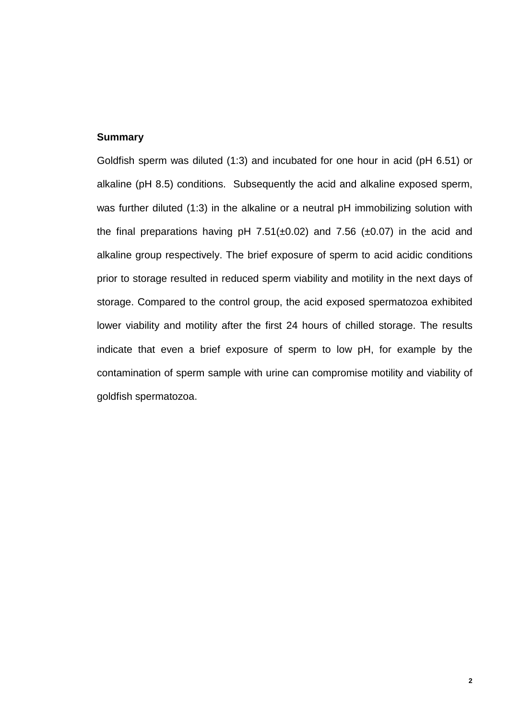#### **Summary**

Goldfish sperm was diluted (1:3) and incubated for one hour in acid (pH 6.51) or alkaline (pH 8.5) conditions. Subsequently the acid and alkaline exposed sperm, was further diluted (1:3) in the alkaline or a neutral pH immobilizing solution with the final preparations having pH  $7.51(\pm 0.02)$  and  $7.56$  ( $\pm 0.07$ ) in the acid and alkaline group respectively. The brief exposure of sperm to acid acidic conditions prior to storage resulted in reduced sperm viability and motility in the next days of storage. Compared to the control group, the acid exposed spermatozoa exhibited lower viability and motility after the first 24 hours of chilled storage. The results indicate that even a brief exposure of sperm to low pH, for example by the contamination of sperm sample with urine can compromise motility and viability of goldfish spermatozoa.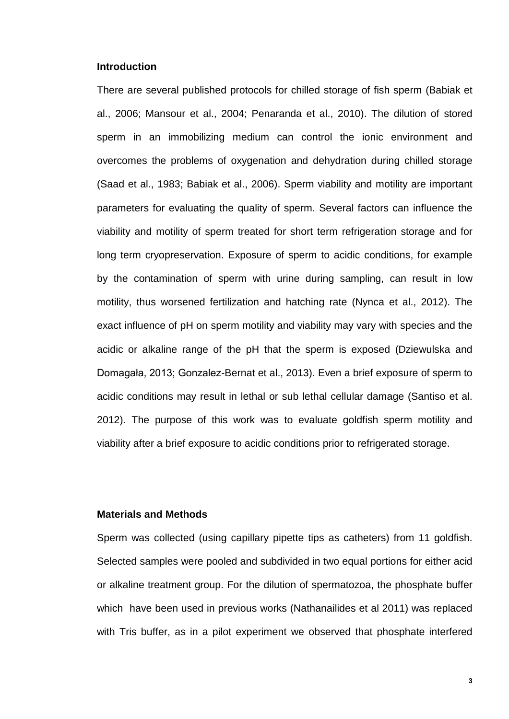#### **Introduction**

There are several published protocols for chilled storage of fish sperm (Babiak et al., 2006; Mansour et al., 2004; Penaranda et al., 2010). The dilution of stored sperm in an immobilizing medium can control the ionic environment and overcomes the problems of oxygenation and dehydration during chilled storage (Saad et al., 1983; Babiak et al., 2006). Sperm viability and motility are important parameters for evaluating the quality of sperm. Several factors can influence the viability and motility of sperm treated for short term refrigeration storage and for long term cryopreservation. Exposure of sperm to acidic conditions, for example by the contamination of sperm with urine during sampling, can result in low motility, thus worsened fertilization and hatching rate (Nynca et al., 2012). The exact influence of pH on sperm motility and viability may vary with species and the acidic or alkaline range of the pH that the sperm is exposed (Dziewulska and Domagała, 2013; Gonzalez-Bernat et al., 2013). Even a brief exposure of sperm to acidic conditions may result in lethal or sub lethal cellular damage (Santiso et al. 2012). The purpose of this work was to evaluate goldfish sperm motility and viability after a brief exposure to acidic conditions prior to refrigerated storage.

#### **Materials and Methods**

Sperm was collected (using capillary pipette tips as catheters) from 11 goldfish. Selected samples were pooled and subdivided in two equal portions for either acid or alkaline treatment group. For the dilution of spermatozoa, the phosphate buffer which have been used in previous works (Nathanailides et al 2011) was replaced with Tris buffer, as in a pilot experiment we observed that phosphate interfered

**3**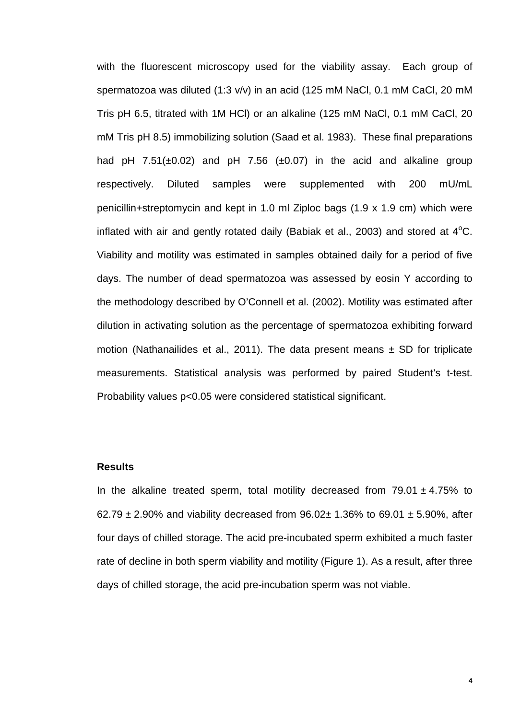with the fluorescent microscopy used for the viability assay. Each group of spermatozoa was diluted (1:3 v/v) in an acid (125 mM NaCl, 0.1 mM CaCl, 20 mM Tris pH 6.5, titrated with 1M HCl) or an alkaline (125 mM NaCl, 0.1 mM CaCl, 20 mM Tris pH 8.5) immobilizing solution (Saad et al. 1983). These final preparations had pH  $7.51(\pm 0.02)$  and pH  $7.56$  ( $\pm 0.07$ ) in the acid and alkaline group respectively. Diluted samples were supplemented with 200 mU/mL penicillin+streptomycin and kept in 1.0 ml Ziploc bags (1.9 x 1.9 cm) which were inflated with air and gently rotated daily (Babiak et al., 2003) and stored at  $4^{\circ}$ C. Viability and motility was estimated in samples obtained daily for a period of five days. The number of dead spermatozoa was assessed by eosin Y according to the methodology described by O'Connell et al. (2002). Motility was estimated after dilution in activating solution as the percentage of spermatozoa exhibiting forward motion (Nathanailides et al., 2011). The data present means  $\pm$  SD for triplicate measurements. Statistical analysis was performed by paired Student's t-test. Probability values p<0.05 were considered statistical significant.

#### **Results**

In the alkaline treated sperm, total motility decreased from  $79.01 \pm 4.75\%$  to 62.79  $\pm$  2.90% and viability decreased from 96.02 $\pm$  1.36% to 69.01  $\pm$  5.90%, after four days of chilled storage. The acid pre-incubated sperm exhibited a much faster rate of decline in both sperm viability and motility (Figure 1). As a result, after three days of chilled storage, the acid pre-incubation sperm was not viable.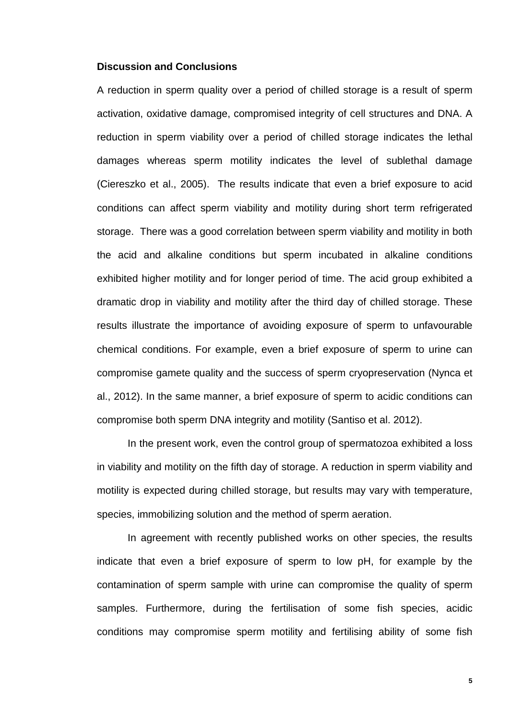#### **Discussion and Conclusions**

A reduction in sperm quality over a period of chilled storage is a result of sperm activation, oxidative damage, compromised integrity of cell structures and DNA. A reduction in sperm viability over a period of chilled storage indicates the lethal damages whereas sperm motility indicates the level of sublethal damage (Ciereszko et al., 2005). The results indicate that even a brief exposure to acid conditions can affect sperm viability and motility during short term refrigerated storage. There was a good correlation between sperm viability and motility in both the acid and alkaline conditions but sperm incubated in alkaline conditions exhibited higher motility and for longer period of time. The acid group exhibited a dramatic drop in viability and motility after the third day of chilled storage. These results illustrate the importance of avoiding exposure of sperm to unfavourable chemical conditions. For example, even a brief exposure of sperm to urine can compromise gamete quality and the success of sperm cryopreservation (Nynca et al., 2012). In the same manner, a brief exposure of sperm to acidic conditions can compromise both sperm DNA integrity and motility (Santiso et al. 2012).

In the present work, even the control group of spermatozoa exhibited a loss in viability and motility on the fifth day of storage. A reduction in sperm viability and motility is expected during chilled storage, but results may vary with temperature, species, immobilizing solution and the method of sperm aeration.

In agreement with recently published works on other species, the results indicate that even a brief exposure of sperm to low pH, for example by the contamination of sperm sample with urine can compromise the quality of sperm samples. Furthermore, during the fertilisation of some fish species, acidic conditions may compromise sperm motility and fertilising ability of some fish

**5**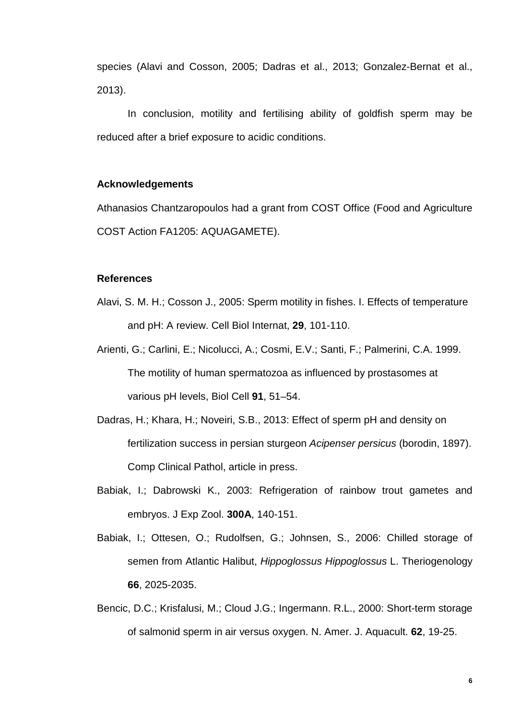species (Alavi and Cosson, 2005; Dadras et al., 2013; Gonzalez-Bernat et al., 2013).

In conclusion, motility and fertilising ability of goldfish sperm may be reduced after a brief exposure to acidic conditions.

#### **Acknowledgements**

Athanasios Chantzaropoulos had a grant from COST Office (Food and Agriculture COST Action FA1205: AQUAGAMETE).

#### **References**

- Alavi, S. M. H.; Cosson J., 2005: Sperm motility in fishes. I. Effects of temperature and pH: A review. Cell Biol Internat, **29**, 101-110.
- Arienti, G.; Carlini, E.; Nicolucci, A.; Cosmi, E.V.; Santi, F.; Palmerini, C.A. 1999. The motility of human spermatozoa as influenced by prostasomes at various pH levels, Biol Cell **91**, 51–54.
- Dadras, H.; Khara, H.; Noveiri, S.B., 2013: Effect of sperm pH and density on fertilization success in persian sturgeon *Acipenser persicus* (borodin, 1897). Comp Clinical Pathol, article in press.
- Babiak, I.; Dabrowski K., 2003: Refrigeration of rainbow trout gametes and embryos. J Exp Zool. **300A**, 140-151.
- Babiak, I.; Ottesen, O.; Rudolfsen, G.; Johnsen, S., 2006: Chilled storage of semen from Atlantic Halibut, *Hippoglossus Hippoglossus* L. Theriogenology **66**, 2025-2035.
- Bencic, D.C.; Krisfalusi, M.; Cloud J.G.; Ingermann. R.L., 2000: Short-term storage of salmonid sperm in air versus oxygen. N. Amer. J. Aquacult. **62**, 19-25.

**6**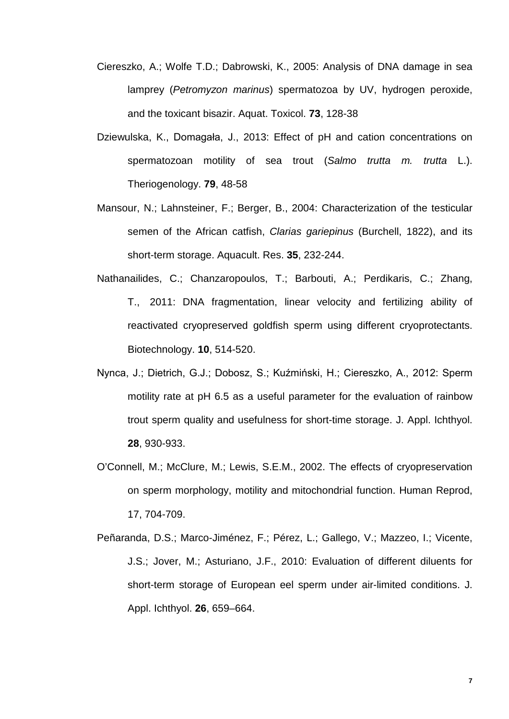- Ciereszko, A.; Wolfe T.D.; Dabrowski, K., 2005: Analysis of DNA damage in sea lamprey (*Petromyzon marinus*) spermatozoa by UV, hydrogen peroxide, and the toxicant bisazir. Aquat. Toxicol. **73**, 128-38
- Dziewulska, K., Domagała, J., 2013: Effect of pH and cation concentrations on spermatozoan motility of sea trout (*Salmo trutta m. trutta* L.). Theriogenology. **79**, 48-58
- Mansour, N.; Lahnsteiner, F.; Berger, B., 2004: Characterization of the testicular semen of the African catfish, *Clarias gariepinus* (Burchell, 1822), and its short-term storage. Aquacult. Res. **35**, 232-244.
- Nathanailides, C.; Chanzaropoulos, T.; Barbouti, A.; Perdikaris, C.; Zhang, T., 2011: DNA fragmentation, linear velocity and fertilizing ability of reactivated cryopreserved goldfish sperm using different cryoprotectants. Biotechnology. **10**, 514-520.
- Nynca, J.; Dietrich, G.J.; Dobosz, S.; Kuźmiński, H.; Ciereszko, A., 2012: Sperm motility rate at pH 6.5 as a useful parameter for the evaluation of rainbow trout sperm quality and usefulness for short-time storage. J. Appl. Ichthyol. **28**, 930-933.
- O'Connell, M.; McClure, M.; Lewis, S.E.M., 2002. The effects of cryopreservation on sperm morphology, motility and mitochondrial function. Human Reprod, 17, 704-709.
- Peñaranda, D.S.; Marco-Jiménez, F.; Pérez, L.; Gallego, V.; Mazzeo, I.; Vicente, J.S.; Jover, M.; Asturiano, J.F., 2010: Evaluation of different diluents for short-term storage of European eel sperm under air-limited conditions. J. Appl. Ichthyol. **26**, 659–664.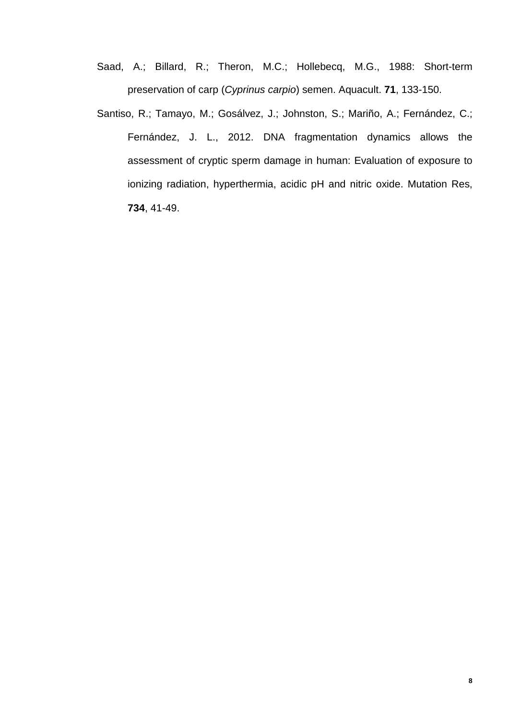- Saad, A.; Billard, R.; Theron, M.C.; Hollebecq, M.G., 1988: Short-term preservation of carp (*Cyprinus carpio*) semen. Aquacult. **71**, 133-150.
- Santiso, R.; Tamayo, M.; Gosálvez, J.; Johnston, S.; Mariño, A.; Fernández, C.; Fernández, J. L., 2012. DNA fragmentation dynamics allows the assessment of cryptic sperm damage in human: Evaluation of exposure to ionizing radiation, hyperthermia, acidic pH and nitric oxide. Mutation Res, **734**, 41-49.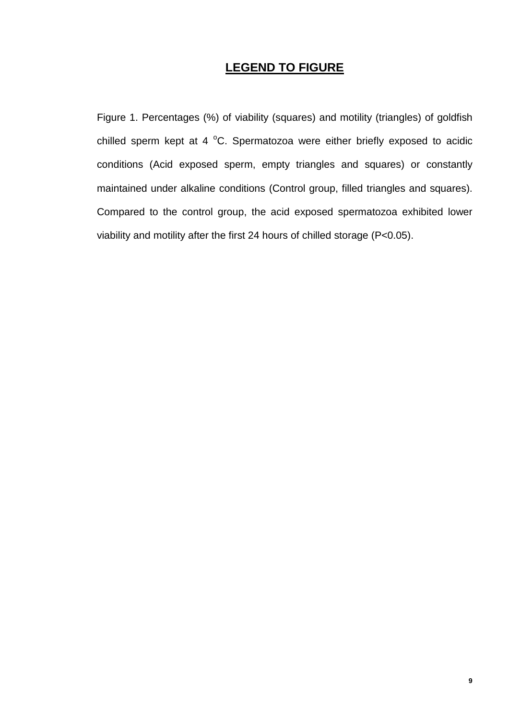## **LEGEND TO FIGURE**

Figure 1. Percentages (%) of viability (squares) and motility (triangles) of goldfish chilled sperm kept at 4  $^{\circ}$ C. Spermatozoa were either briefly exposed to acidic conditions (Acid exposed sperm, empty triangles and squares) or constantly maintained under alkaline conditions (Control group, filled triangles and squares). Compared to the control group, the acid exposed spermatozoa exhibited lower viability and motility after the first 24 hours of chilled storage (P<0.05).